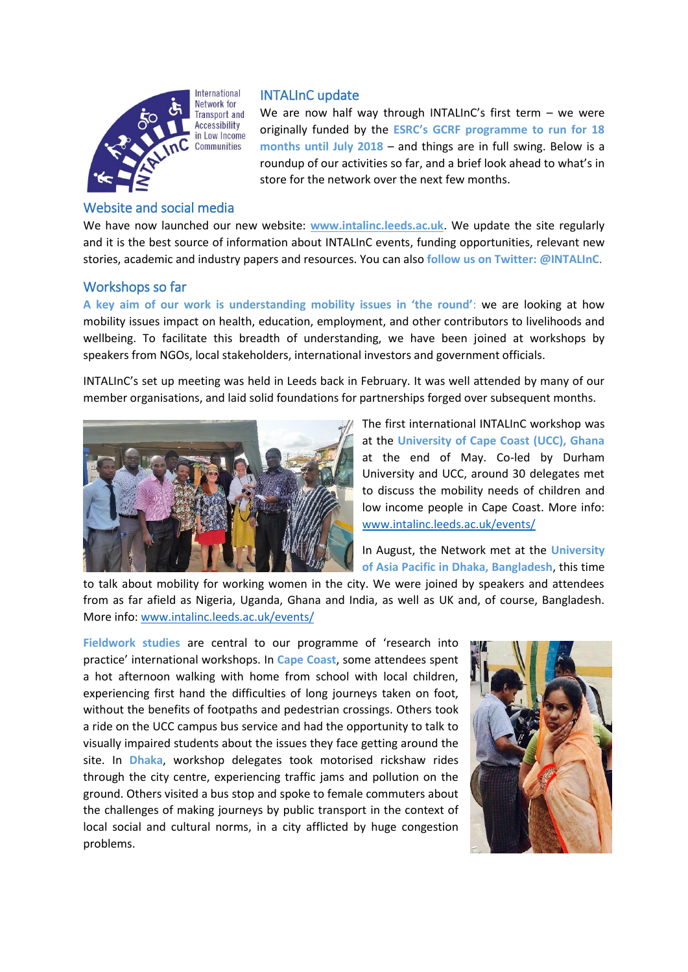

## Website and social media

# INTALInC update

We are now half way through INTALInC's first term - we were originally funded by the **ESRC's GCRF programme to run for 18 months until July 2018** – and things are in full swing. Below is a roundup of our activities so far, and a brief look ahead to what's in store for the network over the next few months.

We have now launched our new website: **[www.intalinc.leeds.ac.uk](http://www.intalinc.leeds.ac.uk/)**. We update the site regularly and it is the best source of information about INTALInC events, funding opportunities, relevant new stories, academic and industry papers and resources. You can also **follow us on Twitter: @INTALInC**.

### Workshops so far

**A key aim of our work is understanding mobility issues in 'the round'**: we are looking at how mobility issues impact on health, education, employment, and other contributors to livelihoods and wellbeing. To facilitate this breadth of understanding, we have been joined at workshops by speakers from NGOs, local stakeholders, international investors and government officials.

INTALInC's set up meeting was held in Leeds back in February. It was well attended by many of our member organisations, and laid solid foundations for partnerships forged over subsequent months.



The first international INTALInC workshop was at the **University of Cape Coast (UCC), Ghana** at the end of May. Co-led by Durham University and UCC, around 30 delegates met to discuss the mobility needs of children and low income people in Cape Coast. More info: [www.intalinc.leeds.ac.uk/events/](http://www.intalinc.leeds.ac.uk/events/)

In August, the Network met at the **University of Asia Pacific in Dhaka, Bangladesh**, this time

to talk about mobility for working women in the city. We were joined by speakers and attendees from as far afield as Nigeria, Uganda, Ghana and India, as well as UK and, of course, Bangladesh. More info: [www.intalinc.leeds.ac.uk/events/](http://www.intalinc.leeds.ac.uk/events/)

**Fieldwork studies** are central to our programme of 'research into practice' international workshops. In **Cape Coast**, some attendees spent a hot afternoon walking with home from school with local children, experiencing first hand the difficulties of long journeys taken on foot, without the benefits of footpaths and pedestrian crossings. Others took a ride on the UCC campus bus service and had the opportunity to talk to visually impaired students about the issues they face getting around the site. In **Dhaka**, workshop delegates took motorised rickshaw rides through the city centre, experiencing traffic jams and pollution on the ground. Others visited a bus stop and spoke to female commuters about the challenges of making journeys by public transport in the context of local social and cultural norms, in a city afflicted by huge congestion problems.